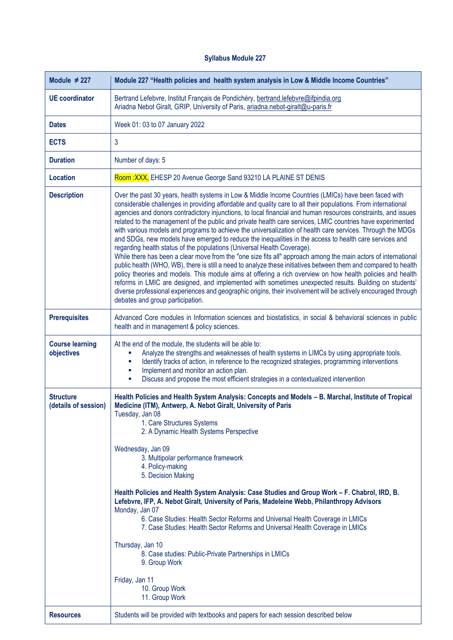## **Syllabus Module 227**

| Module $\neq$ 227                        | Module 227 "Health policies and health system analysis in Low & Middle Income Countries"                                                                                                                                                                                                                                                                                                                                                                                                                                                                                                                                                                                                                                                                                                                                                                                                                                                                                                                                                                                                                                                                                                                                                                                                                                                                                   |
|------------------------------------------|----------------------------------------------------------------------------------------------------------------------------------------------------------------------------------------------------------------------------------------------------------------------------------------------------------------------------------------------------------------------------------------------------------------------------------------------------------------------------------------------------------------------------------------------------------------------------------------------------------------------------------------------------------------------------------------------------------------------------------------------------------------------------------------------------------------------------------------------------------------------------------------------------------------------------------------------------------------------------------------------------------------------------------------------------------------------------------------------------------------------------------------------------------------------------------------------------------------------------------------------------------------------------------------------------------------------------------------------------------------------------|
| <b>UE</b> coordinator                    | Bertrand Lefebvre, Institut Français de Pondichéry, bertrand.lefebvre@ifpindia.org<br>Ariadna Nebot Giralt, GRIP, University of Paris, ariadna.nebot-giralt@u-paris.fr                                                                                                                                                                                                                                                                                                                                                                                                                                                                                                                                                                                                                                                                                                                                                                                                                                                                                                                                                                                                                                                                                                                                                                                                     |
| <b>Dates</b>                             | Week 01: 03 to 07 January 2022                                                                                                                                                                                                                                                                                                                                                                                                                                                                                                                                                                                                                                                                                                                                                                                                                                                                                                                                                                                                                                                                                                                                                                                                                                                                                                                                             |
| <b>ECTS</b>                              | 3                                                                                                                                                                                                                                                                                                                                                                                                                                                                                                                                                                                                                                                                                                                                                                                                                                                                                                                                                                                                                                                                                                                                                                                                                                                                                                                                                                          |
| <b>Duration</b>                          | Number of days: 5                                                                                                                                                                                                                                                                                                                                                                                                                                                                                                                                                                                                                                                                                                                                                                                                                                                                                                                                                                                                                                                                                                                                                                                                                                                                                                                                                          |
| <b>Location</b>                          | Room : XXX, EHESP 20 Avenue George Sand 93210 LA PLAINE ST DENIS                                                                                                                                                                                                                                                                                                                                                                                                                                                                                                                                                                                                                                                                                                                                                                                                                                                                                                                                                                                                                                                                                                                                                                                                                                                                                                           |
| <b>Description</b>                       | Over the past 30 years, health systems in Low & Middle Income Countries (LMICs) have been faced with<br>considerable challenges in providing affordable and quality care to all their populations. From international<br>agencies and donors contradictory injunctions, to local financial and human resources constraints, and issues<br>related to the management of the public and private health care services, LMIC countries have experimented<br>with various models and programs to achieve the universalization of health care services. Through the MDGs<br>and SDGs, new models have emerged to reduce the inequalities in the access to health care services and<br>regarding health status of the populations (Universal Health Coverage).<br>While there has been a clear move from the "one size fits all" approach among the main actors of international<br>public health (WHO, WB), there is still a need to analyze these initiatives between them and compared to health<br>policy theories and models. This module aims at offering a rich overview on how health policies and health<br>reforms in LMIC are designed, and implemented with sometimes unexpected results. Building on students'<br>diverse professional experiences and geographic origins, their involvement will be actively encouraged through<br>debates and group participation. |
| <b>Prerequisites</b>                     | Advanced Core modules in Information sciences and biostatistics, in social & behavioral sciences in public<br>health and in management & policy sciences.                                                                                                                                                                                                                                                                                                                                                                                                                                                                                                                                                                                                                                                                                                                                                                                                                                                                                                                                                                                                                                                                                                                                                                                                                  |
| <b>Course learning</b><br>objectives     | At the end of the module, the students will be able to:<br>Analyze the strengths and weaknesses of health systems in LIMCs by using appropriate tools.<br>Identify tracks of action, in reference to the recognized strategies, programming interventions<br>ш<br>Implement and monitor an action plan.<br>ш<br>Discuss and propose the most efficient strategies in a contextualized intervention<br>$\blacksquare$                                                                                                                                                                                                                                                                                                                                                                                                                                                                                                                                                                                                                                                                                                                                                                                                                                                                                                                                                       |
| <b>Structure</b><br>(details of session) | Health Policies and Health System Analysis: Concepts and Models - B. Marchal, Institute of Tropical<br>Medicine (ITM), Antwerp, A. Nebot Giralt, University of Paris<br>Tuesday, Jan 08<br>1. Care Structures Systems<br>2. A Dynamic Health Systems Perspective<br>Wednesday, Jan 09<br>3. Multipolar performance framework<br>4. Policy-making<br>5. Decision Making<br>Health Policies and Health System Analysis: Case Studies and Group Work - F. Chabrol, IRD, B.<br>Lefebvre, IFP, A. Nebot Giralt, University of Paris, Madeleine Webb, Philanthropy Advisors<br>Monday, Jan 07<br>6. Case Studies: Health Sector Reforms and Universal Health Coverage in LMICs<br>7. Case Studies: Health Sector Reforms and Universal Health Coverage in LMICs<br>Thursday, Jan 10<br>8. Case studies: Public-Private Partnerships in LMICs<br>9. Group Work<br>Friday, Jan 11<br>10. Group Work<br>11. Group Work                                                                                                                                                                                                                                                                                                                                                                                                                                                              |
| <b>Resources</b>                         | Students will be provided with textbooks and papers for each session described below                                                                                                                                                                                                                                                                                                                                                                                                                                                                                                                                                                                                                                                                                                                                                                                                                                                                                                                                                                                                                                                                                                                                                                                                                                                                                       |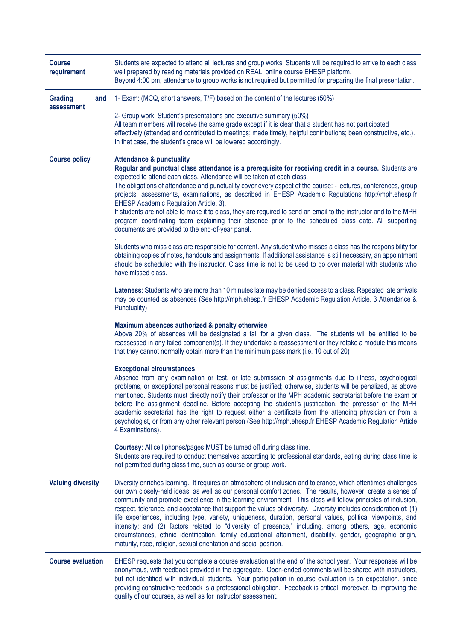| <b>Course</b><br>requirement        | Students are expected to attend all lectures and group works. Students will be required to arrive to each class<br>well prepared by reading materials provided on REAL, online course EHESP platform.<br>Beyond 4:00 pm, attendance to group works is not required but permitted for preparing the final presentation.                                                                                                                                                                                                                                                                                                                                                                                                                                                                                                                                                         |
|-------------------------------------|--------------------------------------------------------------------------------------------------------------------------------------------------------------------------------------------------------------------------------------------------------------------------------------------------------------------------------------------------------------------------------------------------------------------------------------------------------------------------------------------------------------------------------------------------------------------------------------------------------------------------------------------------------------------------------------------------------------------------------------------------------------------------------------------------------------------------------------------------------------------------------|
| <b>Grading</b><br>and<br>assessment | 1- Exam: (MCQ, short answers, T/F) based on the content of the lectures (50%)<br>2- Group work: Student's presentations and executive summary (50%)                                                                                                                                                                                                                                                                                                                                                                                                                                                                                                                                                                                                                                                                                                                            |
|                                     | All team members will receive the same grade except if it is clear that a student has not participated<br>effectively (attended and contributed to meetings; made timely, helpful contributions; been constructive, etc.).<br>In that case, the student's grade will be lowered accordingly.                                                                                                                                                                                                                                                                                                                                                                                                                                                                                                                                                                                   |
| <b>Course policy</b>                | <b>Attendance &amp; punctuality</b><br>Regular and punctual class attendance is a prerequisite for receiving credit in a course. Students are<br>expected to attend each class. Attendance will be taken at each class.<br>The obligations of attendance and punctuality cover every aspect of the course: - lectures, conferences, group<br>projects, assessments, examinations, as described in EHESP Academic Regulations http://mph.ehesp.fr<br>EHESP Academic Regulation Article. 3).<br>If students are not able to make it to class, they are required to send an email to the instructor and to the MPH<br>program coordinating team explaining their absence prior to the scheduled class date. All supporting<br>documents are provided to the end-of-year panel.                                                                                                    |
|                                     | Students who miss class are responsible for content. Any student who misses a class has the responsibility for<br>obtaining copies of notes, handouts and assignments. If additional assistance is still necessary, an appointment<br>should be scheduled with the instructor. Class time is not to be used to go over material with students who<br>have missed class.                                                                                                                                                                                                                                                                                                                                                                                                                                                                                                        |
|                                     | Lateness: Students who are more than 10 minutes late may be denied access to a class. Repeated late arrivals<br>may be counted as absences (See http://mph.ehesp.fr EHESP Academic Regulation Article. 3 Attendance &<br>Punctuality)                                                                                                                                                                                                                                                                                                                                                                                                                                                                                                                                                                                                                                          |
|                                     | Maximum absences authorized & penalty otherwise<br>Above 20% of absences will be designated a fail for a given class. The students will be entitled to be<br>reassessed in any failed component(s). If they undertake a reassessment or they retake a module this means<br>that they cannot normally obtain more than the minimum pass mark (i.e. 10 out of 20)                                                                                                                                                                                                                                                                                                                                                                                                                                                                                                                |
|                                     | <b>Exceptional circumstances</b><br>Absence from any examination or test, or late submission of assignments due to illness, psychological<br>problems, or exceptional personal reasons must be justified; otherwise, students will be penalized, as above<br>mentioned. Students must directly notify their professor or the MPH academic secretariat before the exam or<br>before the assignment deadline. Before accepting the student's justification, the professor or the MPH<br>academic secretariat has the right to request either a certificate from the attending physician or from a<br>psychologist, or from any other relevant person (See http://mph.ehesp.fr EHESP Academic Regulation Article<br>4 Examinations).                                                                                                                                              |
|                                     | Courtesy: All cell phones/pages MUST be turned off during class time.<br>Students are required to conduct themselves according to professional standards, eating during class time is<br>not permitted during class time, such as course or group work.                                                                                                                                                                                                                                                                                                                                                                                                                                                                                                                                                                                                                        |
| <b>Valuing diversity</b>            | Diversity enriches learning. It requires an atmosphere of inclusion and tolerance, which oftentimes challenges<br>our own closely-held ideas, as well as our personal comfort zones. The results, however, create a sense of<br>community and promote excellence in the learning environment. This class will follow principles of inclusion,<br>respect, tolerance, and acceptance that support the values of diversity. Diversity includes consideration of: (1)<br>life experiences, including type, variety, uniqueness, duration, personal values, political viewpoints, and<br>intensity; and (2) factors related to "diversity of presence," including, among others, age, economic<br>circumstances, ethnic identification, family educational attainment, disability, gender, geographic origin,<br>maturity, race, religion, sexual orientation and social position. |
| <b>Course evaluation</b>            | EHESP requests that you complete a course evaluation at the end of the school year. Your responses will be<br>anonymous, with feedback provided in the aggregate. Open-ended comments will be shared with instructors,<br>but not identified with individual students. Your participation in course evaluation is an expectation, since<br>providing constructive feedback is a professional obligation. Feedback is critical, moreover, to improving the<br>quality of our courses, as well as for instructor assessment.                                                                                                                                                                                                                                                                                                                                                     |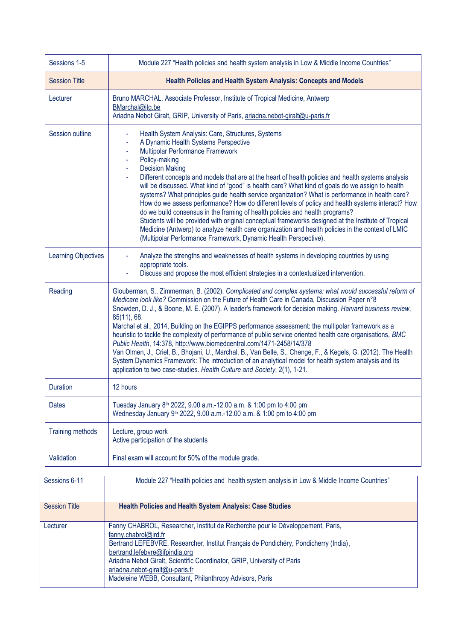| Sessions 1-5               | Module 227 "Health policies and health system analysis in Low & Middle Income Countries"                                                                                                                                                                                                                                                                                                                                                                                                                                                                                                                                                                                                                                                                                                                                                                                                                                                                 |
|----------------------------|----------------------------------------------------------------------------------------------------------------------------------------------------------------------------------------------------------------------------------------------------------------------------------------------------------------------------------------------------------------------------------------------------------------------------------------------------------------------------------------------------------------------------------------------------------------------------------------------------------------------------------------------------------------------------------------------------------------------------------------------------------------------------------------------------------------------------------------------------------------------------------------------------------------------------------------------------------|
| <b>Session Title</b>       | <b>Health Policies and Health System Analysis: Concepts and Models</b>                                                                                                                                                                                                                                                                                                                                                                                                                                                                                                                                                                                                                                                                                                                                                                                                                                                                                   |
| Lecturer                   | Bruno MARCHAL, Associate Professor, Institute of Tropical Medicine, Antwerp<br>BMarchal@itg.be<br>Ariadna Nebot Giralt, GRIP, University of Paris, ariadna.nebot-giralt@u-paris.fr                                                                                                                                                                                                                                                                                                                                                                                                                                                                                                                                                                                                                                                                                                                                                                       |
| Session outline            | Health System Analysis: Care, Structures, Systems<br>A Dynamic Health Systems Perspective<br>Multipolar Performance Framework<br>Policy-making<br><b>Decision Making</b><br>Different concepts and models that are at the heart of health policies and health systems analysis<br>will be discussed. What kind of "good" is health care? What kind of goals do we assign to health<br>systems? What principles guide health service organization? What is performance in health care?<br>How do we assess performance? How do different levels of policy and health systems interact? How<br>do we build consensus in the framing of health policies and health programs?<br>Students will be provided with original conceptual frameworks designed at the Institute of Tropical<br>Medicine (Antwerp) to analyze health care organization and health policies in the context of LMIC<br>(Multipolar Performance Framework, Dynamic Health Perspective). |
| <b>Learning Objectives</b> | Analyze the strengths and weaknesses of health systems in developing countries by using<br>appropriate tools.<br>Discuss and propose the most efficient strategies in a contextualized intervention.                                                                                                                                                                                                                                                                                                                                                                                                                                                                                                                                                                                                                                                                                                                                                     |
| Reading                    | Glouberman, S., Zimmerman, B. (2002). Complicated and complex systems: what would successful reform of<br>Medicare look like? Commission on the Future of Health Care in Canada, Discussion Paper n°8<br>Snowden, D. J., & Boone, M. E. (2007). A leader's framework for decision making. Harvard business review,<br>85(11), 68.<br>Marchal et al., 2014, Building on the EGIPPS performance assessment: the multipolar framework as a<br>heuristic to tackle the complexity of performance of public service oriented health care organisations, BMC<br>Public Health, 14:378, http://www.biomedcentral.com/1471-2458/14/378<br>Van Olmen, J., Criel, B., Bhojani, U., Marchal, B., Van Belle, S., Chenge, F., & Kegels, G. (2012). The Health<br>System Dynamics Framework: The introduction of an analytical model for health system analysis and its<br>application to two case-studies. Health Culture and Society, 2(1), 1-21.                    |
| <b>Duration</b>            | 12 hours                                                                                                                                                                                                                                                                                                                                                                                                                                                                                                                                                                                                                                                                                                                                                                                                                                                                                                                                                 |
| <b>Dates</b>               | Tuesday January 8 <sup>th</sup> 2022, 9.00 a.m.-12.00 a.m. & 1:00 pm to 4:00 pm<br>Wednesday January 9th 2022, 9.00 a.m.-12.00 a.m. & 1:00 pm to 4:00 pm                                                                                                                                                                                                                                                                                                                                                                                                                                                                                                                                                                                                                                                                                                                                                                                                 |
| <b>Training methods</b>    | Lecture, group work<br>Active participation of the students                                                                                                                                                                                                                                                                                                                                                                                                                                                                                                                                                                                                                                                                                                                                                                                                                                                                                              |
| Validation                 | Final exam will account for 50% of the module grade.                                                                                                                                                                                                                                                                                                                                                                                                                                                                                                                                                                                                                                                                                                                                                                                                                                                                                                     |

| Sessions 6-11        | Module 227 "Health policies and health system analysis in Low & Middle Income Countries"                                                                                                                                                                                                                                                                                                                   |
|----------------------|------------------------------------------------------------------------------------------------------------------------------------------------------------------------------------------------------------------------------------------------------------------------------------------------------------------------------------------------------------------------------------------------------------|
| <b>Session Title</b> | <b>Health Policies and Health System Analysis: Case Studies</b>                                                                                                                                                                                                                                                                                                                                            |
| Lecturer             | Fanny CHABROL, Researcher, Institut de Recherche pour le Développement, Paris,<br>fanny.chabrol@ird.fr<br>Bertrand LEFEBVRE, Researcher, Institut Français de Pondichéry, Pondicherry (India),<br>bertrand.lefebvre@ifpindia.org<br>Ariadna Nebot Giralt, Scientific Coordinator, GRIP, University of Paris<br>ariadna.nebot-giralt@u-paris.fr<br>Madeleine WEBB, Consultant, Philanthropy Advisors, Paris |